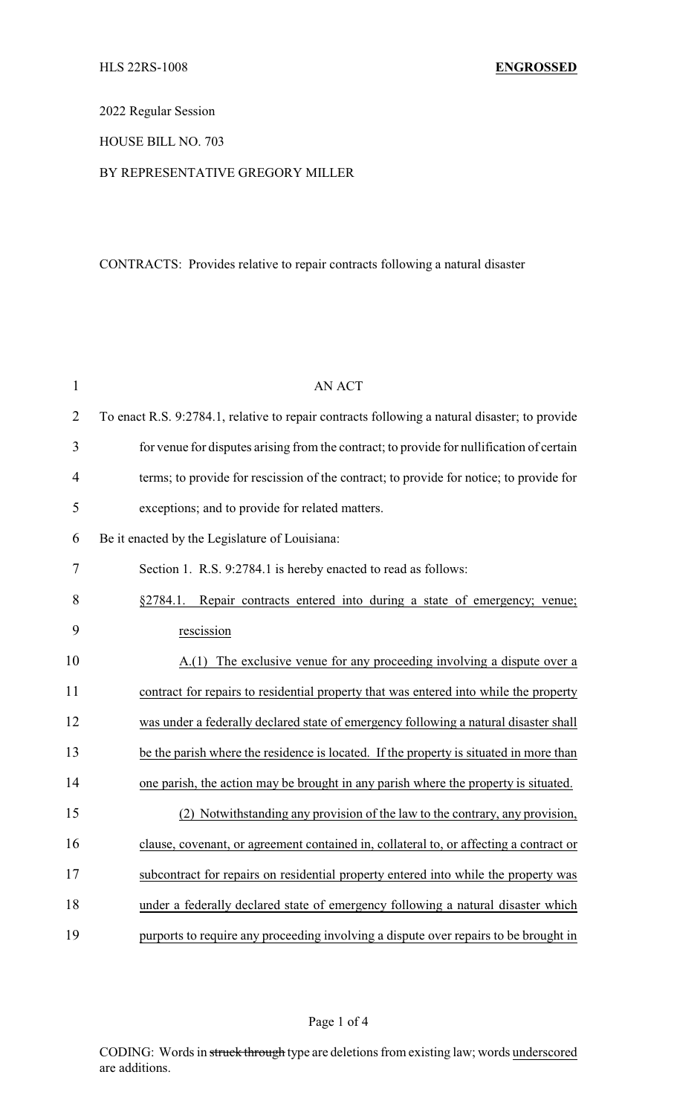2022 Regular Session

HOUSE BILL NO. 703

## BY REPRESENTATIVE GREGORY MILLER

## CONTRACTS: Provides relative to repair contracts following a natural disaster

| $\mathbf{1}$   | <b>AN ACT</b>                                                                                 |
|----------------|-----------------------------------------------------------------------------------------------|
| $\overline{2}$ | To enact R.S. 9:2784.1, relative to repair contracts following a natural disaster; to provide |
| 3              | for venue for disputes arising from the contract; to provide for nullification of certain     |
| 4              | terms; to provide for rescission of the contract; to provide for notice; to provide for       |
| 5              | exceptions; and to provide for related matters.                                               |
| 6              | Be it enacted by the Legislature of Louisiana:                                                |
| 7              | Section 1. R.S. 9:2784.1 is hereby enacted to read as follows:                                |
| 8              | §2784.1. Repair contracts entered into during a state of emergency; venue;                    |
| 9              | rescission                                                                                    |
| 10             | A.(1) The exclusive venue for any proceeding involving a dispute over a                       |
| 11             | contract for repairs to residential property that was entered into while the property         |
| 12             | was under a federally declared state of emergency following a natural disaster shall          |
| 13             | be the parish where the residence is located. If the property is situated in more than        |
| 14             | one parish, the action may be brought in any parish where the property is situated.           |
| 15             | (2) Notwithstanding any provision of the law to the contrary, any provision,                  |
| 16             | clause, covenant, or agreement contained in, collateral to, or affecting a contract or        |
| 17             | subcontract for repairs on residential property entered into while the property was           |
| 18             | under a federally declared state of emergency following a natural disaster which              |
| 19             | purports to require any proceeding involving a dispute over repairs to be brought in          |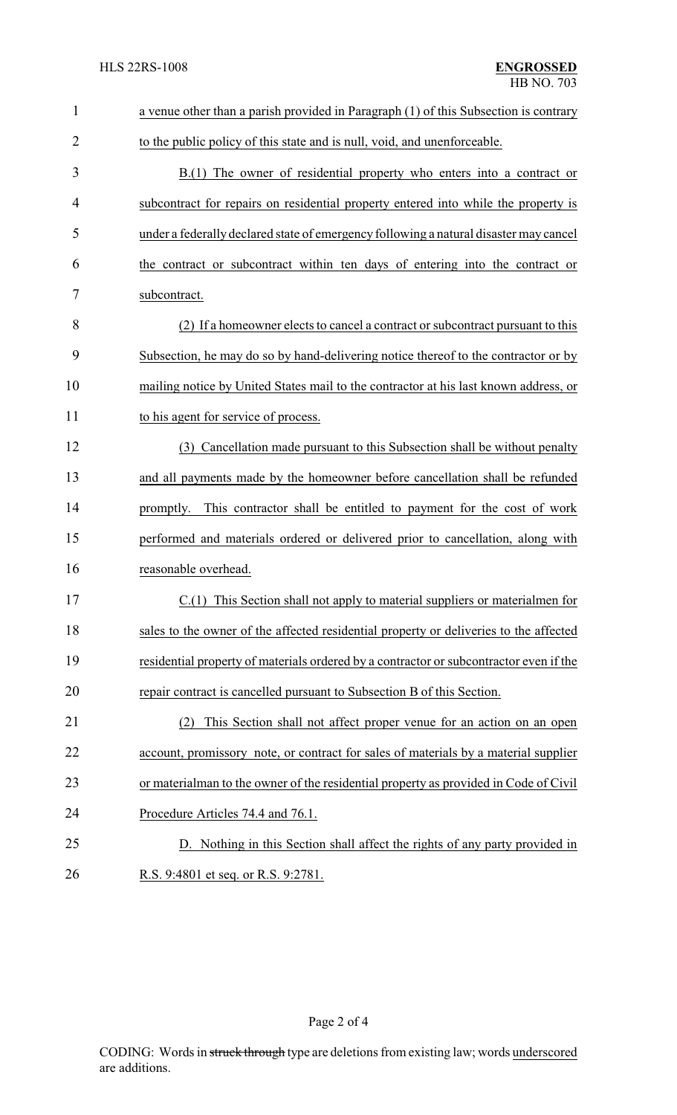| $\mathbf{1}$   | a venue other than a parish provided in Paragraph (1) of this Subsection is contrary   |
|----------------|----------------------------------------------------------------------------------------|
| $\overline{2}$ | to the public policy of this state and is null, void, and unenforceable.               |
| 3              | B.(1) The owner of residential property who enters into a contract or                  |
| 4              | subcontract for repairs on residential property entered into while the property is     |
| 5              | under a federally declared state of emergency following a natural disaster may cancel  |
| 6              | the contract or subcontract within ten days of entering into the contract or           |
| 7              | subcontract.                                                                           |
| 8              | (2) If a homeowner elects to cancel a contract or subcontract pursuant to this         |
| 9              | Subsection, he may do so by hand-delivering notice thereof to the contractor or by     |
| 10             | mailing notice by United States mail to the contractor at his last known address, or   |
| 11             | to his agent for service of process.                                                   |
| 12             | (3) Cancellation made pursuant to this Subsection shall be without penalty             |
| 13             | and all payments made by the homeowner before cancellation shall be refunded           |
| 14             | promptly. This contractor shall be entitled to payment for the cost of work            |
| 15             | performed and materials ordered or delivered prior to cancellation, along with         |
| 16             | reasonable overhead.                                                                   |
| 17             | C.(1) This Section shall not apply to material suppliers or materialmen for            |
| 18             | sales to the owner of the affected residential property or deliveries to the affected  |
| 19             | residential property of materials ordered by a contractor or subcontractor even if the |
| 20             | repair contract is cancelled pursuant to Subsection B of this Section.                 |
| 21             | This Section shall not affect proper venue for an action on an open<br>(2)             |
| 22             | account, promissory note, or contract for sales of materials by a material supplier    |
| 23             | or materialman to the owner of the residential property as provided in Code of Civil   |
| 24             | Procedure Articles 74.4 and 76.1.                                                      |
| 25             | D. Nothing in this Section shall affect the rights of any party provided in            |
| 26             | R.S. 9:4801 et seq. or R.S. 9:2781.                                                    |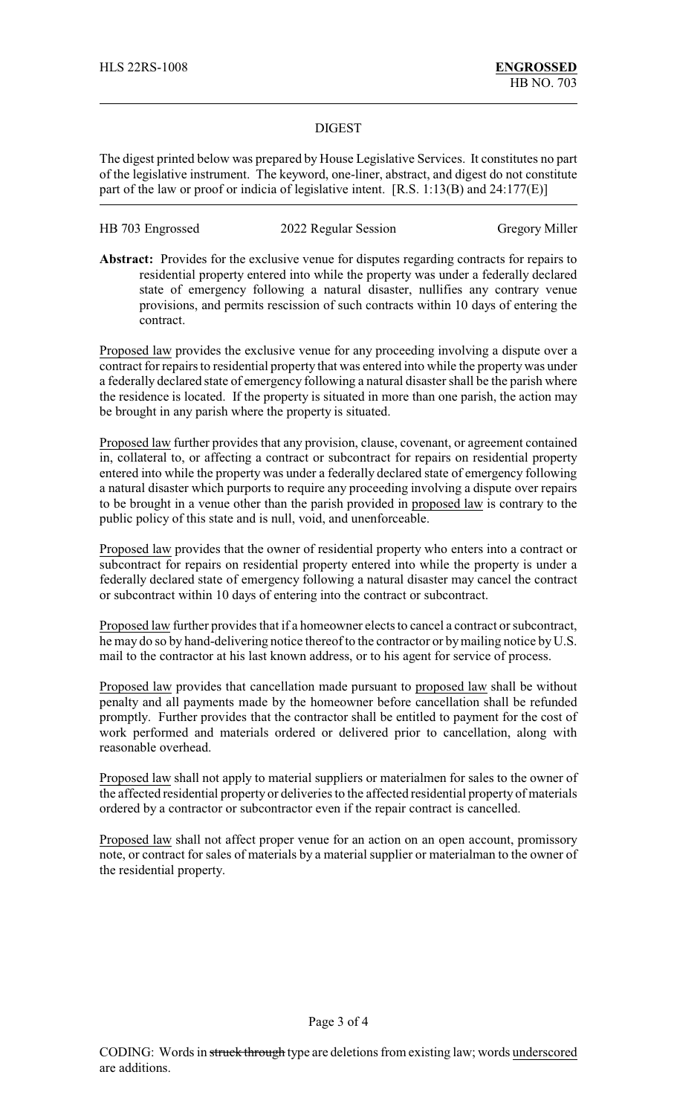## DIGEST

The digest printed below was prepared by House Legislative Services. It constitutes no part of the legislative instrument. The keyword, one-liner, abstract, and digest do not constitute part of the law or proof or indicia of legislative intent. [R.S. 1:13(B) and 24:177(E)]

| HB 703 Engrossed | 2022 Regular Session | <b>Gregory Miller</b> |
|------------------|----------------------|-----------------------|
|------------------|----------------------|-----------------------|

**Abstract:** Provides for the exclusive venue for disputes regarding contracts for repairs to residential property entered into while the property was under a federally declared state of emergency following a natural disaster, nullifies any contrary venue provisions, and permits rescission of such contracts within 10 days of entering the contract.

Proposed law provides the exclusive venue for any proceeding involving a dispute over a contract for repairs to residential property that was entered into while the propertywas under a federally declared state of emergency following a natural disaster shall be the parish where the residence is located. If the property is situated in more than one parish, the action may be brought in any parish where the property is situated.

Proposed law further provides that any provision, clause, covenant, or agreement contained in, collateral to, or affecting a contract or subcontract for repairs on residential property entered into while the property was under a federally declared state of emergency following a natural disaster which purports to require any proceeding involving a dispute over repairs to be brought in a venue other than the parish provided in proposed law is contrary to the public policy of this state and is null, void, and unenforceable.

Proposed law provides that the owner of residential property who enters into a contract or subcontract for repairs on residential property entered into while the property is under a federally declared state of emergency following a natural disaster may cancel the contract or subcontract within 10 days of entering into the contract or subcontract.

Proposed law further provides that if a homeowner elects to cancel a contract or subcontract, he may do so by hand-delivering notice thereof to the contractor or bymailing notice by U.S. mail to the contractor at his last known address, or to his agent for service of process.

Proposed law provides that cancellation made pursuant to proposed law shall be without penalty and all payments made by the homeowner before cancellation shall be refunded promptly. Further provides that the contractor shall be entitled to payment for the cost of work performed and materials ordered or delivered prior to cancellation, along with reasonable overhead.

Proposed law shall not apply to material suppliers or materialmen for sales to the owner of the affected residential property or deliveries to the affected residential property of materials ordered by a contractor or subcontractor even if the repair contract is cancelled.

Proposed law shall not affect proper venue for an action on an open account, promissory note, or contract for sales of materials by a material supplier or materialman to the owner of the residential property.